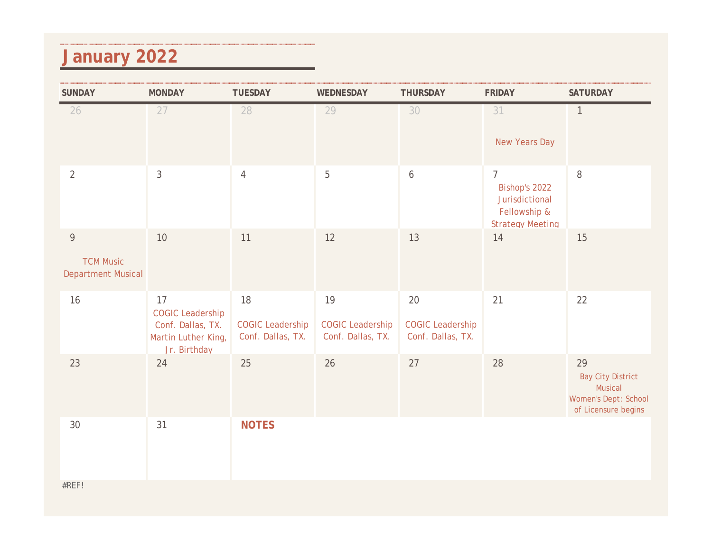#### **January 2022**

| <b>SUNDAY</b>                                                   | <b>MONDAY</b>                                                                             | <b>TUESDAY</b>                                     | WEDNESDAY                                          | <b>THURSDAY</b>                                        | <b>FRIDAY</b>                                                                                | <b>SATURDAY</b>                                                                                 |
|-----------------------------------------------------------------|-------------------------------------------------------------------------------------------|----------------------------------------------------|----------------------------------------------------|--------------------------------------------------------|----------------------------------------------------------------------------------------------|-------------------------------------------------------------------------------------------------|
| 26                                                              | 27                                                                                        | 28                                                 | 29                                                 | 30                                                     | 31<br>New Years Day                                                                          | 1                                                                                               |
| $\overline{2}$                                                  | $\mathfrak{Z}$                                                                            | $\overline{4}$                                     | 5                                                  | $\boldsymbol{6}$                                       | $\overline{7}$<br>Bishop's 2022<br>Jurisdictional<br>Fellowship &<br><b>Strategy Meeting</b> | $\, 8$                                                                                          |
| $\overline{9}$<br><b>TCM Music</b><br><b>Department Musical</b> | $10$                                                                                      | 11                                                 | 12                                                 | 13                                                     | 14                                                                                           | 15                                                                                              |
| 16                                                              | 17<br><b>COGIC Leadership</b><br>Conf. Dallas, TX.<br>Martin Luther King,<br>Jr. Birthday | 18<br><b>COGIC Leadership</b><br>Conf. Dallas, TX. | 19<br><b>COGIC Leadership</b><br>Conf. Dallas, TX. | $20\,$<br><b>COGIC Leadership</b><br>Conf. Dallas, TX. | 21                                                                                           | 22                                                                                              |
| 23                                                              | 24                                                                                        | 25                                                 | 26                                                 | 27                                                     | 28                                                                                           | 29<br><b>Bay City District</b><br>Musical<br><b>Women's Dept: School</b><br>of Licensure begins |
| 30                                                              | 31                                                                                        | <b>NOTES</b>                                       |                                                    |                                                        |                                                                                              |                                                                                                 |
| #REF!                                                           |                                                                                           |                                                    |                                                    |                                                        |                                                                                              |                                                                                                 |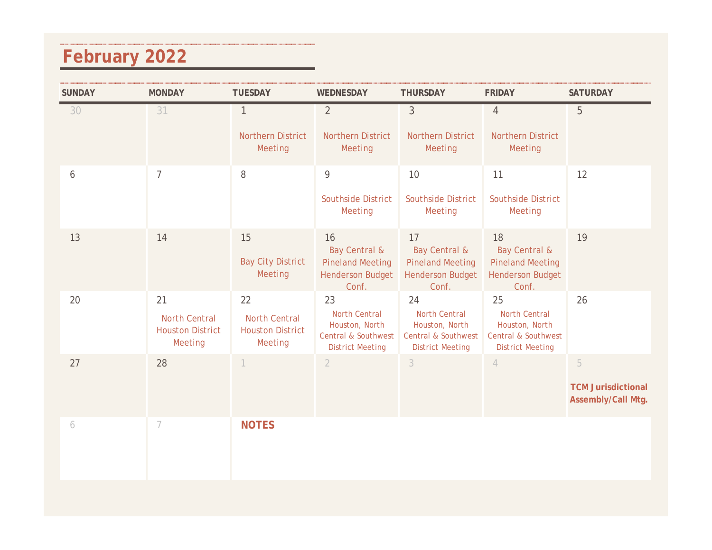### **February 2022**

| <b>SUNDAY</b> | <b>MONDAY</b>                                                    | <b>TUESDAY</b>                                                   | WEDNESDAY                                                                                                 | <b>THURSDAY</b>                                                                                           | <b>FRIDAY</b>                                                                                             | <b>SATURDAY</b>                                      |
|---------------|------------------------------------------------------------------|------------------------------------------------------------------|-----------------------------------------------------------------------------------------------------------|-----------------------------------------------------------------------------------------------------------|-----------------------------------------------------------------------------------------------------------|------------------------------------------------------|
| 30            | 31                                                               | $\mathbf{1}$<br>Northern District<br>Meeting                     | $\overline{2}$<br><b>Northern District</b><br>Meeting                                                     | $\mathfrak{Z}$<br><b>Northern District</b><br>Meeting                                                     | $\overline{4}$<br>Northern District<br>Meeting                                                            | 5                                                    |
| 6             | $\overline{7}$                                                   | $\, 8$                                                           | $\overline{9}$<br><b>Southside District</b><br>Meeting                                                    | 10<br><b>Southside District</b><br>Meeting                                                                | 11<br><b>Southside District</b><br>Meeting                                                                | 12                                                   |
| 13            | 14                                                               | 15<br><b>Bay City District</b><br>Meeting                        | 16<br><b>Bay Central &amp;</b><br><b>Pineland Meeting</b><br><b>Henderson Budget</b><br>Conf.             | 17<br><b>Bay Central &amp;</b><br><b>Pineland Meeting</b><br><b>Henderson Budget</b><br>Conf.             | 18<br><b>Bay Central &amp;</b><br><b>Pineland Meeting</b><br><b>Henderson Budget</b><br>Conf.             | 19                                                   |
| 20            | 21<br><b>North Central</b><br><b>Houston District</b><br>Meeting | 22<br><b>North Central</b><br><b>Houston District</b><br>Meeting | 23<br><b>North Central</b><br>Houston, North<br><b>Central &amp; Southwest</b><br><b>District Meeting</b> | 24<br><b>North Central</b><br>Houston, North<br><b>Central &amp; Southwest</b><br><b>District Meeting</b> | 25<br><b>North Central</b><br>Houston, North<br><b>Central &amp; Southwest</b><br><b>District Meeting</b> | 26                                                   |
| 27            | 28                                                               | $\mathbf 1$                                                      | $\overline{2}$                                                                                            | $\mathfrak{Z}$                                                                                            | $\overline{4}$                                                                                            | 5<br><b>TCM Jurisdictional</b><br>Assembly/Call Mtg. |
| 6             | 7                                                                | <b>NOTES</b>                                                     |                                                                                                           |                                                                                                           |                                                                                                           |                                                      |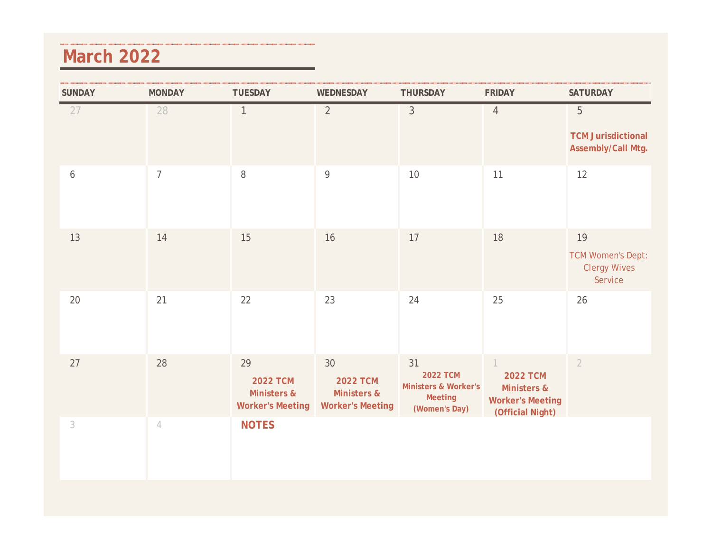#### **March 2022**

| <b>SUNDAY</b> | <b>MONDAY</b>                                                                | <b>TUESDAY</b>                                                  | WEDNESDAY                                                       | <b>THURSDAY</b>                                                                      | <b>FRIDAY</b>                                                                                     | <b>SATURDAY</b>                                                  |
|---------------|------------------------------------------------------------------------------|-----------------------------------------------------------------|-----------------------------------------------------------------|--------------------------------------------------------------------------------------|---------------------------------------------------------------------------------------------------|------------------------------------------------------------------|
| 27            | 28                                                                           | $\mathbf{1}$                                                    | $\overline{2}$                                                  | $\mathfrak{Z}$                                                                       | $\overline{4}$                                                                                    | 5<br><b>TCM Jurisdictional</b><br>Assembly/Call Mtg.             |
| 6             | $\overline{7}$                                                               | 8                                                               | 9                                                               | 10                                                                                   | 11                                                                                                | 12                                                               |
| 13            | 14                                                                           | 15                                                              | 16                                                              | 17                                                                                   | 18                                                                                                | 19<br><b>TCM Women's Dept:</b><br><b>Clergy Wives</b><br>Service |
| $20\,$        | 21                                                                           | 22                                                              | 23                                                              | 24                                                                                   | 25                                                                                                | 26                                                               |
| 27            | 28                                                                           | 29<br><b>2022 TCM</b><br>Ministers &<br><b>Worker's Meeting</b> | 30<br><b>2022 TCM</b><br>Ministers &<br><b>Worker's Meeting</b> | 31<br><b>2022 TCM</b><br><b>Ministers &amp; Worker's</b><br>Meeting<br>(Women's Day) | $\left  \right $<br><b>2022 TCM</b><br>Ministers &<br><b>Worker's Meeting</b><br>(Official Night) | $\overline{2}$                                                   |
| 3             | $\mathcal{A}% _{0}=\mathcal{A}_{\mathrm{CL}}\times\mathcal{A}_{\mathrm{CL}}$ | <b>NOTES</b>                                                    |                                                                 |                                                                                      |                                                                                                   |                                                                  |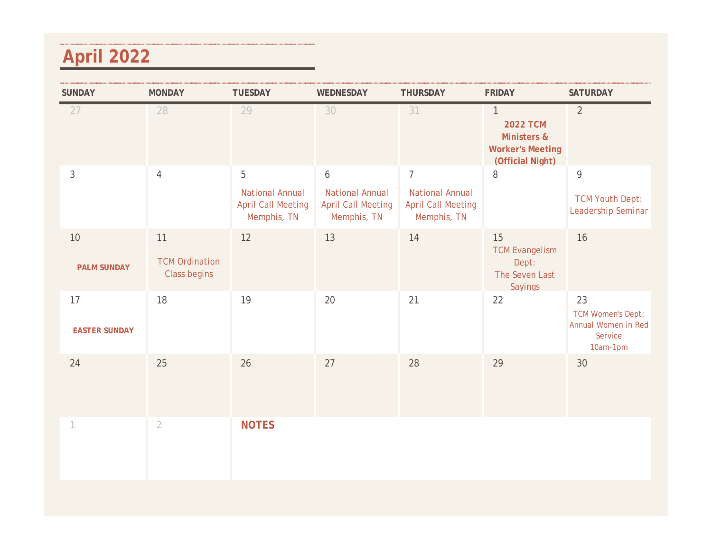### **April 2022**

| <b>SUNDAY</b>                | <b>MONDAY</b>                               | <b>TUESDAY</b>                                                          | WEDNESDAY                                                                              | <b>THURSDAY</b>                                                                      | <b>FRIDAY</b>                                                                      | <b>SATURDAY</b>                                                              |
|------------------------------|---------------------------------------------|-------------------------------------------------------------------------|----------------------------------------------------------------------------------------|--------------------------------------------------------------------------------------|------------------------------------------------------------------------------------|------------------------------------------------------------------------------|
| 27                           | 28                                          | 29                                                                      | 30                                                                                     | 31                                                                                   | 1<br><b>2022 TCM</b><br>Ministers &<br><b>Worker's Meeting</b><br>(Official Night) | $\overline{2}$                                                               |
| 3                            | $\overline{4}$                              | 5<br><b>National Annual</b><br><b>April Call Meeting</b><br>Memphis, TN | $\boldsymbol{6}$<br><b>National Annual</b><br><b>April Call Meeting</b><br>Memphis, TN | $\overline{7}$<br><b>National Annual</b><br><b>April Call Meeting</b><br>Memphis, TN | 8                                                                                  | $\overline{9}$<br><b>TCM Youth Dept:</b><br>Leadership Seminar               |
| $10\,$<br><b>PALM SUNDAY</b> | 11<br><b>TCM Ordination</b><br>Class begins | 12                                                                      | 13                                                                                     | 14                                                                                   | 15<br><b>TCM Evangelism</b><br>Dept:<br>The Seven Last<br>Sayings                  | 16                                                                           |
| 17<br><b>EASTER SUNDAY</b>   | 18                                          | 19                                                                      | 20                                                                                     | 21                                                                                   | 22                                                                                 | 23<br><b>TCM Women's Dept:</b><br>Annual Women in Red<br>Service<br>10am-1pm |
| 24                           | 25                                          | 26                                                                      | 27                                                                                     | 28                                                                                   | 29                                                                                 | 30                                                                           |
|                              | $\overline{2}$                              | <b>NOTES</b>                                                            |                                                                                        |                                                                                      |                                                                                    |                                                                              |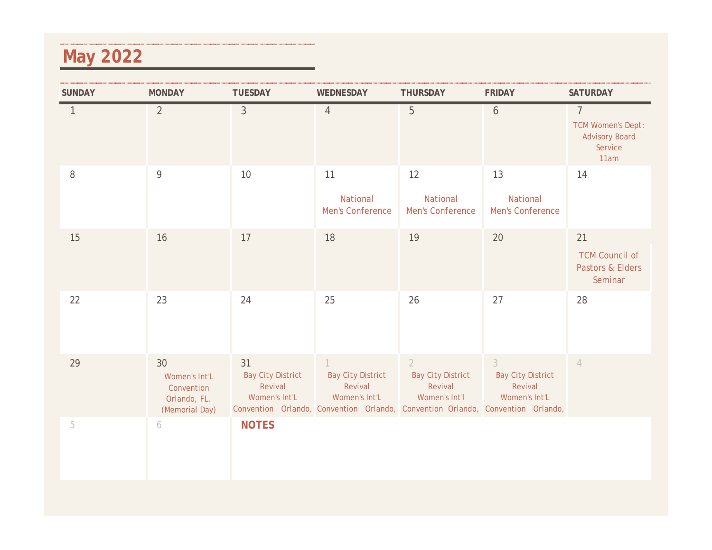### **May 2022**

| <b>SUNDAY</b>  | <b>MONDAY</b>                                                       | <b>TUESDAY</b>                                             | WEDNESDAY                                            | <b>THURSDAY</b>                                                        | <b>FRIDAY</b>                                                                                                                                             | <b>SATURDAY</b>                                                                        |
|----------------|---------------------------------------------------------------------|------------------------------------------------------------|------------------------------------------------------|------------------------------------------------------------------------|-----------------------------------------------------------------------------------------------------------------------------------------------------------|----------------------------------------------------------------------------------------|
|                | $\overline{2}$                                                      | $\mathfrak{Z}$                                             | $\overline{4}$                                       | 5                                                                      | $\overline{6}$                                                                                                                                            | $\overline{7}$<br><b>TCM Women's Dept:</b><br><b>Advisory Board</b><br>Service<br>11am |
| $8\,$          | 9                                                                   | 10                                                         | 11<br>National<br>Men's Conference                   | 12<br>National<br>Men's Conference                                     | 13<br>National<br>Men's Conference                                                                                                                        | 14                                                                                     |
| 15             | 16                                                                  | 17                                                         | 18                                                   | 19                                                                     | 20                                                                                                                                                        | 21<br><b>TCM Council of</b><br>Pastors & Elders<br>Seminar                             |
| 22             | 23                                                                  | 24                                                         | 25                                                   | 26                                                                     | 27                                                                                                                                                        | 28                                                                                     |
| 29             | 30<br>Women's Int'L<br>Convention<br>Orlando, FL.<br>(Memorial Day) | 31<br><b>Bay City District</b><br>Revival<br>Women's Int'L | <b>Bay City District</b><br>Revival<br>Women's Int'L | $\overline{2}$<br><b>Bay City District</b><br>Revival<br>Women's Int'l | $\overline{3}$<br><b>Bay City District</b><br>Revival<br>Women's Int'L<br>Convention Orlando, Convention Orlando, Convention Orlando, Convention Orlando, | $\overline{4}$                                                                         |
| $\overline{5}$ | 6                                                                   | <b>NOTES</b>                                               |                                                      |                                                                        |                                                                                                                                                           |                                                                                        |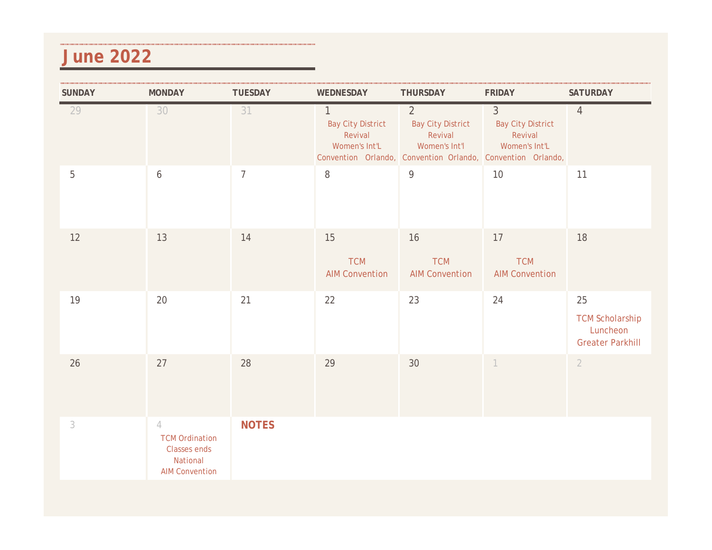#### **June 2022**

| <b>SUNDAY</b> | <b>MONDAY</b>                                                                                       | <b>TUESDAY</b> | WEDNESDAY                                                            | THURSDAY                                                               | <b>FRIDAY</b>                                                                                                                         | <b>SATURDAY</b>                                                     |
|---------------|-----------------------------------------------------------------------------------------------------|----------------|----------------------------------------------------------------------|------------------------------------------------------------------------|---------------------------------------------------------------------------------------------------------------------------------------|---------------------------------------------------------------------|
| 29            | 30                                                                                                  | 31             | $\mathbf{1}$<br><b>Bay City District</b><br>Revival<br>Women's Int'L | $\overline{2}$<br><b>Bay City District</b><br>Revival<br>Women's Int'l | $\mathfrak{Z}$<br><b>Bay City District</b><br>Revival<br>Women's Int'L<br>Convention Orlando, Convention Orlando, Convention Orlando, | $\overline{4}$                                                      |
| $\mathbf 5$   | 6                                                                                                   | $\overline{7}$ | $\, 8$                                                               | $\mathsf{q}$                                                           | $10$                                                                                                                                  | 11                                                                  |
| 12            | 13                                                                                                  | 14             | 15<br><b>TCM</b><br><b>AIM Convention</b>                            | 16<br><b>TCM</b><br><b>AIM Convention</b>                              | 17<br><b>TCM</b><br><b>AIM Convention</b>                                                                                             | 18                                                                  |
| 19            | 20                                                                                                  | 21             | 22                                                                   | 23                                                                     | 24                                                                                                                                    | 25<br><b>TCM Scholarship</b><br>Luncheon<br><b>Greater Parkhill</b> |
| 26            | 27                                                                                                  | 28             | 29                                                                   | 30                                                                     | $\overline{1}$                                                                                                                        | $\overline{2}$                                                      |
| 3             | $\overline{4}$<br><b>TCM Ordination</b><br><b>Classes ends</b><br>National<br><b>AIM Convention</b> | <b>NOTES</b>   |                                                                      |                                                                        |                                                                                                                                       |                                                                     |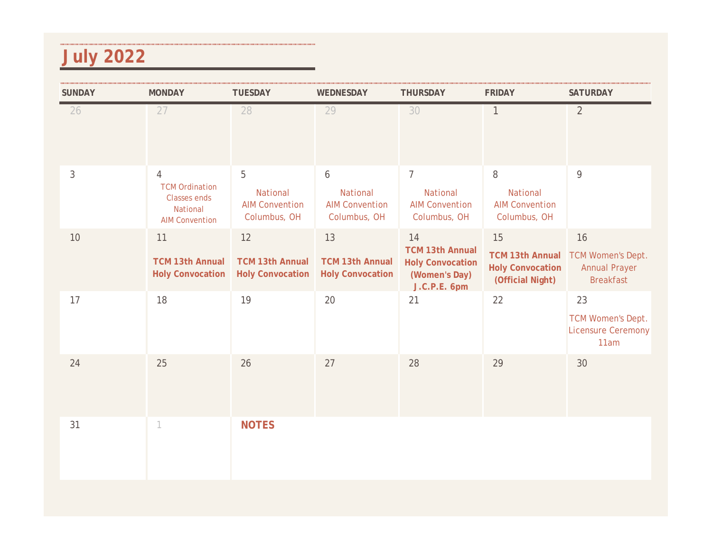### **July 2022**

| <b>SUNDAY</b> | <b>MONDAY</b>                                                                                       | <b>TUESDAY</b>                                          | WEDNESDAY                                                             | <b>THURSDAY</b>                                                                          | <b>FRIDAY</b>                                                               | <b>SATURDAY</b>                                                            |
|---------------|-----------------------------------------------------------------------------------------------------|---------------------------------------------------------|-----------------------------------------------------------------------|------------------------------------------------------------------------------------------|-----------------------------------------------------------------------------|----------------------------------------------------------------------------|
| 26            | 27                                                                                                  | 28                                                      | 29                                                                    | 30                                                                                       | $\mathbf{1}$                                                                | $\overline{2}$                                                             |
| 3             | $\overline{4}$<br><b>TCM Ordination</b><br><b>Classes ends</b><br>National<br><b>AIM Convention</b> | 5<br>National<br><b>AIM Convention</b><br>Columbus, OH  | $\boldsymbol{6}$<br>National<br><b>AIM Convention</b><br>Columbus, OH | $\overline{7}$<br>National<br><b>AIM Convention</b><br>Columbus, OH                      | 8<br>National<br><b>AIM Convention</b><br>Columbus, OH                      | 9                                                                          |
| 10            | 11<br><b>TCM 13th Annual</b><br><b>Holy Convocation</b>                                             | 12<br><b>TCM 13th Annual</b><br><b>Holy Convocation</b> | 13<br><b>TCM 13th Annual</b><br><b>Holy Convocation</b>               | 14<br><b>TCM 13th Annual</b><br><b>Holy Convocation</b><br>(Women's Day)<br>J.C.P.E. 6pm | 15<br><b>TCM 13th Annual</b><br><b>Holy Convocation</b><br>(Official Night) | 16<br><b>TCM Women's Dept.</b><br><b>Annual Prayer</b><br><b>Breakfast</b> |
| 17            | 18                                                                                                  | 19                                                      | 20                                                                    | 21                                                                                       | 22                                                                          | 23<br><b>TCM Women's Dept.</b><br><b>Licensure Ceremony</b><br>11am        |
| 24            | 25                                                                                                  | 26                                                      | 27                                                                    | 28                                                                                       | 29                                                                          | 30                                                                         |
| 31            | 1                                                                                                   | <b>NOTES</b>                                            |                                                                       |                                                                                          |                                                                             |                                                                            |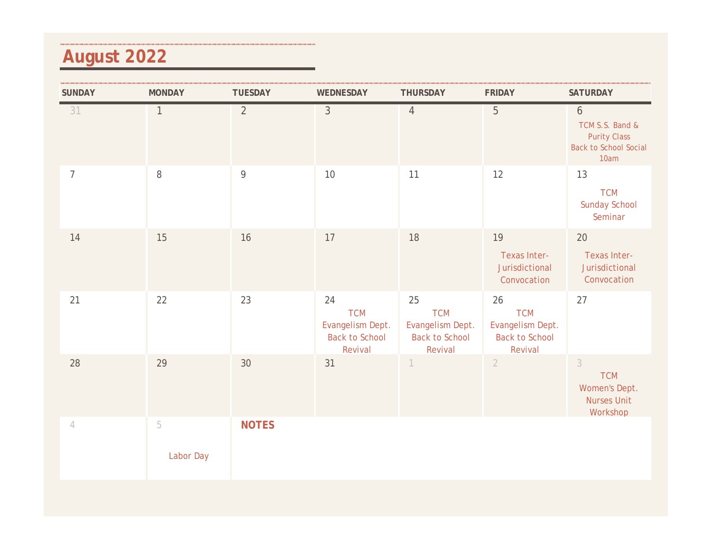# **August 2022**

| <b>SUNDAY</b>  | <b>MONDAY</b>               | <b>TUESDAY</b> | WEDNESDAY                                                                | <b>THURSDAY</b>                                                              | <b>FRIDAY</b>                                                            | <b>SATURDAY</b>                                                                     |
|----------------|-----------------------------|----------------|--------------------------------------------------------------------------|------------------------------------------------------------------------------|--------------------------------------------------------------------------|-------------------------------------------------------------------------------------|
| 31             | $\mathbf{1}$                | $\overline{2}$ | $\mathfrak{Z}$                                                           | $\overline{4}$                                                               | 5                                                                        | 6<br>TCM S.S. Band &<br><b>Purity Class</b><br><b>Back to School Social</b><br>10am |
| $\overline{7}$ | $\, 8$                      | $\overline{9}$ | 10                                                                       | 11                                                                           | 12                                                                       | 13<br><b>TCM</b><br><b>Sunday School</b><br>Seminar                                 |
| 14             | 15                          | 16             | 17                                                                       | 18                                                                           | 19<br>Texas Inter-<br>Jurisdictional<br>Convocation                      | 20<br>Texas Inter-<br>Jurisdictional<br>Convocation                                 |
| 21             | 22                          | 23             | 24<br><b>TCM</b><br>Evangelism Dept.<br><b>Back to School</b><br>Revival | $25\,$<br><b>TCM</b><br>Evangelism Dept.<br><b>Back to School</b><br>Revival | 26<br><b>TCM</b><br>Evangelism Dept.<br><b>Back to School</b><br>Revival | 27                                                                                  |
| 28             | 29                          | 30             | 31                                                                       | 1                                                                            | $\overline{2}$                                                           | $\mathfrak{Z}$<br><b>TCM</b><br>Women's Dept.<br><b>Nurses Unit</b><br>Workshop     |
| $\overline{4}$ | $\overline{5}$<br>Labor Day | <b>NOTES</b>   |                                                                          |                                                                              |                                                                          |                                                                                     |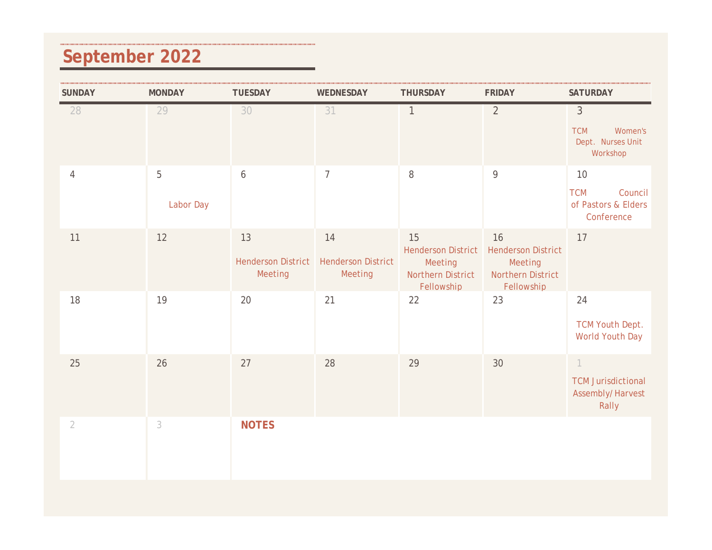## **September 2022**

| <b>SUNDAY</b>  | <b>MONDAY</b>  | <b>TUESDAY</b>                             | WEDNESDAY                                  | <b>THURSDAY</b>                                                               | <b>FRIDAY</b>                                                                 | <b>SATURDAY</b>                                                                      |
|----------------|----------------|--------------------------------------------|--------------------------------------------|-------------------------------------------------------------------------------|-------------------------------------------------------------------------------|--------------------------------------------------------------------------------------|
| 28             | 29             | 30                                         | 31                                         | $\mathbf{1}$                                                                  | $\overline{2}$                                                                | $\mathfrak{Z}$<br><b>TCM</b><br>Women's<br>Dept. Nurses Unit<br>Workshop             |
| $\overline{4}$ | 5<br>Labor Day | $\boldsymbol{6}$                           | $\overline{7}$                             | $\, 8$                                                                        | $\overline{9}$                                                                | 10<br>Council<br><b>TCM</b><br>of Pastors & Elders<br>Conference                     |
| 11             | 12             | 13<br><b>Henderson District</b><br>Meeting | 14<br><b>Henderson District</b><br>Meeting | 15<br><b>Henderson District</b><br>Meeting<br>Northern District<br>Fellowship | 16<br><b>Henderson District</b><br>Meeting<br>Northern District<br>Fellowship | 17                                                                                   |
| 18             | 19             | 20                                         | 21                                         | 22                                                                            | 23                                                                            | 24<br><b>TCM Youth Dept.</b><br><b>World Youth Day</b>                               |
| 25             | 26             | 27                                         | 28                                         | 29                                                                            | 30                                                                            | $\left\vert \right\rangle$<br><b>TCM Jurisdictional</b><br>Assembly/Harvest<br>Rally |
| $\overline{2}$ | $\sqrt{3}$     | <b>NOTES</b>                               |                                            |                                                                               |                                                                               |                                                                                      |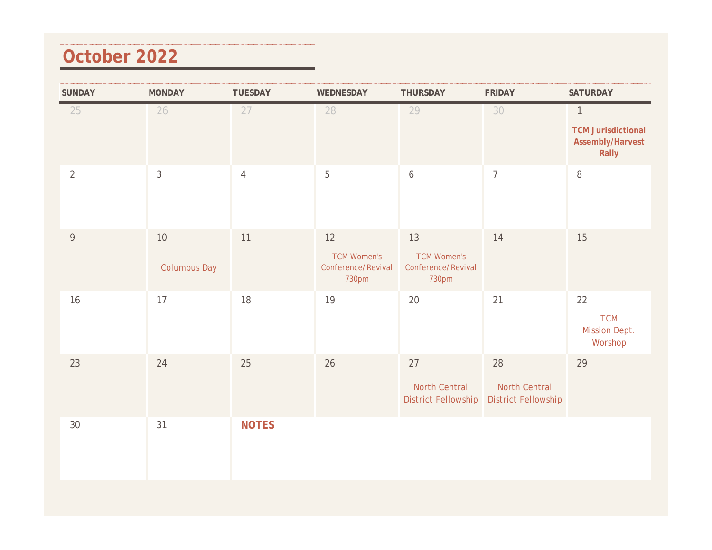#### **October 2022**

| <b>SUNDAY</b>  | <b>MONDAY</b>             | <b>TUESDAY</b> | WEDNESDAY                                               | THURSDAY                                                | <b>FRIDAY</b>                                            | <b>SATURDAY</b>                                                        |
|----------------|---------------------------|----------------|---------------------------------------------------------|---------------------------------------------------------|----------------------------------------------------------|------------------------------------------------------------------------|
| 25             | 26                        | 27             | 28                                                      | 29                                                      | 30                                                       | $\mathbf{1}$<br><b>TCM Jurisdictional</b><br>Assembly/Harvest<br>Rally |
| $\overline{2}$ | $\mathfrak{Z}$            | $\overline{4}$ | $\mathbf 5$                                             | $\boldsymbol{6}$                                        | $\overline{7}$                                           | $\, 8$                                                                 |
| $\overline{9}$ | 10<br><b>Columbus Day</b> | 11             | 12<br><b>TCM Women's</b><br>Conference/Revival<br>730pm | 13<br><b>TCM Women's</b><br>Conference/Revival<br>730pm | 14                                                       | 15                                                                     |
| 16             | 17                        | 18             | 19                                                      | 20                                                      | 21                                                       | 22<br><b>TCM</b><br>Mission Dept.<br>Worshop                           |
| 23             | 24                        | 25             | 26                                                      | 27<br>North Central<br><b>District Fellowship</b>       | 28<br><b>North Central</b><br><b>District Fellowship</b> | 29                                                                     |
| 30             | 31                        | <b>NOTES</b>   |                                                         |                                                         |                                                          |                                                                        |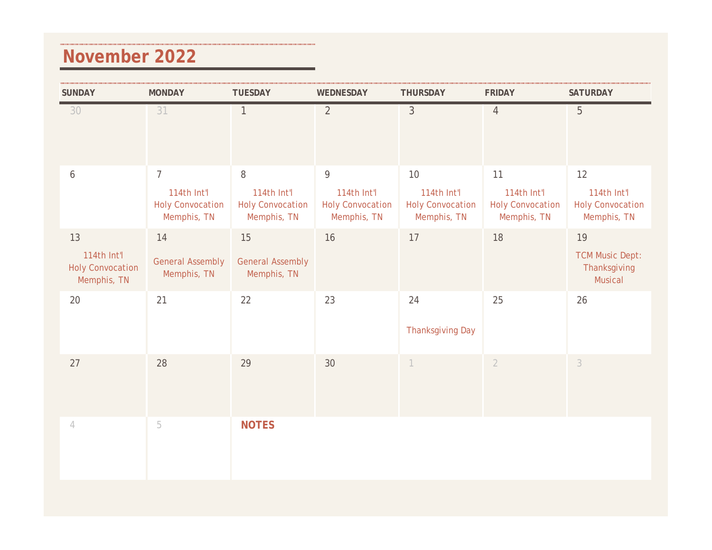#### **November 2022**

| <b>SUNDAY</b>                                               | <b>MONDAY</b>                                                           | <b>TUESDAY</b>                                             | WEDNESDAY                                                  | <b>THURSDAY</b>                                             | <b>FRIDAY</b>                                               | <b>SATURDAY</b>                                             |
|-------------------------------------------------------------|-------------------------------------------------------------------------|------------------------------------------------------------|------------------------------------------------------------|-------------------------------------------------------------|-------------------------------------------------------------|-------------------------------------------------------------|
| 30                                                          | 31                                                                      | $\mathbf{1}$                                               | $\overline{2}$                                             | $\mathfrak{Z}$                                              | $\overline{4}$                                              | 5                                                           |
| $\boldsymbol{6}$                                            | $\overline{7}$<br>114th Int'l<br><b>Holy Convocation</b><br>Memphis, TN | 8<br>114th Int'l<br><b>Holy Convocation</b><br>Memphis, TN | 9<br>114th Int'l<br><b>Holy Convocation</b><br>Memphis, TN | 10<br>114th Int'l<br><b>Holy Convocation</b><br>Memphis, TN | 11<br>114th Int'l<br><b>Holy Convocation</b><br>Memphis, TN | 12<br>114th Int'l<br><b>Holy Convocation</b><br>Memphis, TN |
| 13<br>114th Int'l<br><b>Holy Convocation</b><br>Memphis, TN | 14<br><b>General Assembly</b><br>Memphis, TN                            | 15<br><b>General Assembly</b><br>Memphis, TN               | 16                                                         | 17                                                          | 18                                                          | 19<br><b>TCM Music Dept:</b><br>Thanksgiving<br>Musical     |
| 20                                                          | 21                                                                      | 22                                                         | 23                                                         | 24<br><b>Thanksgiving Day</b>                               | 25                                                          | 26                                                          |
| 27                                                          | 28                                                                      | 29                                                         | 30                                                         | $\overline{1}$                                              | $\overline{2}$                                              | $\mathfrak{Z}$                                              |
| $\overline{4}$                                              | 5                                                                       | <b>NOTES</b>                                               |                                                            |                                                             |                                                             |                                                             |